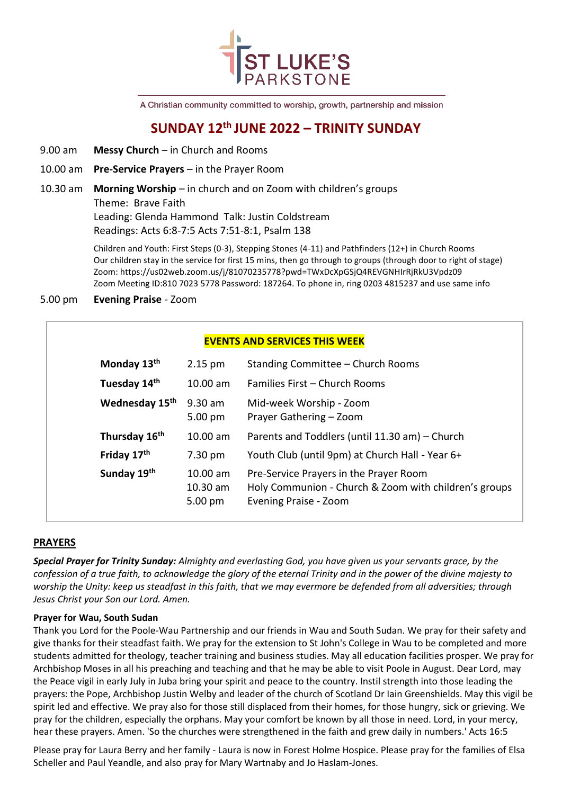

A Christian community committed to worship, growth, partnership and mission

# **SUNDAY 12th JUNE 2022 – TRINITY SUNDAY**

- 9.00 am **Messy Church** in Church and Rooms
- 10.00 am **Pre-Service Prayers** in the Prayer Room
- 10.30 am **Morning Worship** in church and on Zoom with children's groups

Theme: Brave Faith

Leading: Glenda Hammond Talk: Justin Coldstream Readings: Acts 6:8-7:5 Acts 7:51-8:1, Psalm 138

Children and Youth: First Steps (0-3), Stepping Stones (4-11) and Pathfinders (12+) in Church Rooms Our children stay in the service for first 15 mins, then go through to groups (through door to right of stage) Zoom: https://us02web.zoom.us/j/81070235778?pwd=TWxDcXpGSjQ4REVGNHIrRjRkU3Vpdz09 Zoom Meeting ID:810 7023 5778 Password: 187264. To phone in, ring 0203 4815237 and use same info

# 5.00 pm **Evening Praise** - Zoom

# **EVENTS AND SERVICES THIS WEEK**

| Monday 13th                | $2.15 \text{ pm}$                 | Standing Committee – Church Rooms                                                                                        |
|----------------------------|-----------------------------------|--------------------------------------------------------------------------------------------------------------------------|
| Tuesday 14th               | $10.00$ am                        | <b>Families First – Church Rooms</b>                                                                                     |
| Wednesday 15 <sup>th</sup> | $9.30$ am<br>$5.00 \text{ pm}$    | Mid-week Worship - Zoom<br>Prayer Gathering - Zoom                                                                       |
| Thursday 16th              | $10.00$ am                        | Parents and Toddlers (until 11.30 am) – Church                                                                           |
| Friday 17th                | 7.30 pm                           | Youth Club (until 9pm) at Church Hall - Year 6+                                                                          |
| Sunday 19th                | $10.00$ am<br>10.30 am<br>5.00 pm | Pre-Service Prayers in the Prayer Room<br>Holy Communion - Church & Zoom with children's groups<br>Evening Praise - Zoom |

# **PRAYERS**

*Special Prayer for Trinity Sunday: Almighty and everlasting God, you have given us your servants grace, by the confession of a true faith, to acknowledge the glory of the eternal Trinity and in the power of the divine majesty to worship the Unity: keep us steadfast in this faith, that we may evermore be defended from all adversities; through Jesus Christ your Son our Lord. Amen.*

# **Prayer for Wau, South Sudan**

Thank you Lord for the Poole-Wau Partnership and our friends in Wau and South Sudan. We pray for their safety and give thanks for their steadfast faith. We pray for the extension to St John's College in Wau to be completed and more students admitted for theology, teacher training and business studies. May all education facilities prosper. We pray for Archbishop Moses in all his preaching and teaching and that he may be able to visit Poole in August. Dear Lord, may the Peace vigil in early July in Juba bring your spirit and peace to the country. Instil strength into those leading the prayers: the Pope, Archbishop Justin Welby and leader of the church of Scotland Dr Iain Greenshields. May this vigil be spirit led and effective. We pray also for those still displaced from their homes, for those hungry, sick or grieving. We pray for the children, especially the orphans. May your comfort be known by all those in need. Lord, in your mercy, hear these prayers. Amen. 'So the churches were strengthened in the faith and grew daily in numbers.' Acts 16:5

Please pray for Laura Berry and her family - Laura is now in Forest Holme Hospice. Please pray for the families of Elsa Scheller and Paul Yeandle, and also pray for Mary Wartnaby and Jo Haslam-Jones.